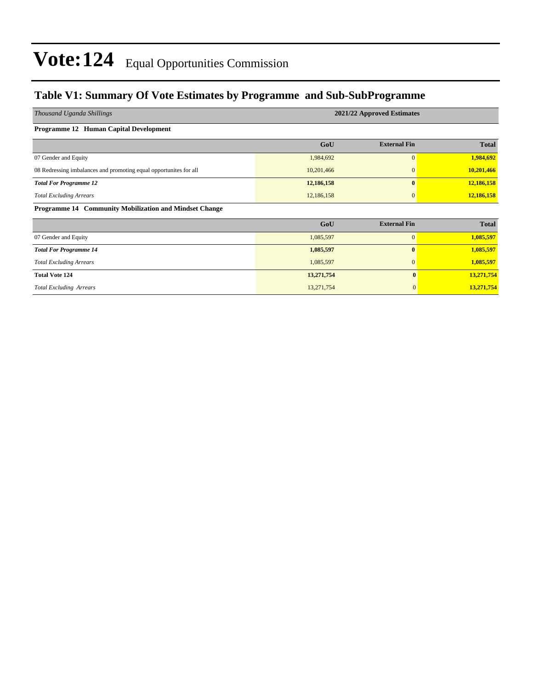### **Table V1: Summary Of Vote Estimates by Programme and Sub-SubProgramme**

| Thousand Uganda Shillings                                         | 2021/22 Approved Estimates |                     |              |  |  |  |  |  |
|-------------------------------------------------------------------|----------------------------|---------------------|--------------|--|--|--|--|--|
| Programme 12 Human Capital Development                            |                            |                     |              |  |  |  |  |  |
|                                                                   | GoU                        | <b>External Fin</b> | <b>Total</b> |  |  |  |  |  |
| 07 Gender and Equity                                              | 1,984,692                  | $\mathbf{0}$        | 1,984,692    |  |  |  |  |  |
| 08 Redressing imbalances and promoting equal opportunites for all | 10,201,466                 | $\mathbf{0}$        | 10,201,466   |  |  |  |  |  |
| <b>Total For Programme 12</b>                                     | 12,186,158                 | $\mathbf{0}$        | 12,186,158   |  |  |  |  |  |
| <b>Total Excluding Arrears</b>                                    | 12,186,158                 | $\mathbf{0}$        | 12,186,158   |  |  |  |  |  |
| Programme 14 Community Mobilization and Mindset Change            |                            |                     |              |  |  |  |  |  |
|                                                                   | GoU                        | <b>External Fin</b> | <b>Total</b> |  |  |  |  |  |
| 07 Gender and Equity                                              | 1,085,597                  | $\overline{0}$      | 1,085,597    |  |  |  |  |  |
| <b>Total For Programme 14</b>                                     | 1,085,597                  | $\bf{0}$            | 1,085,597    |  |  |  |  |  |
| <b>Total Excluding Arrears</b>                                    | 1,085,597                  | $\mathbf{0}$        | 1,085,597    |  |  |  |  |  |
| <b>Total Vote 124</b>                                             | 13,271,754                 | $\mathbf{0}$        | 13,271,754   |  |  |  |  |  |
| <b>Total Excluding Arrears</b>                                    | 13,271,754                 | $\mathbf{0}$        | 13,271,754   |  |  |  |  |  |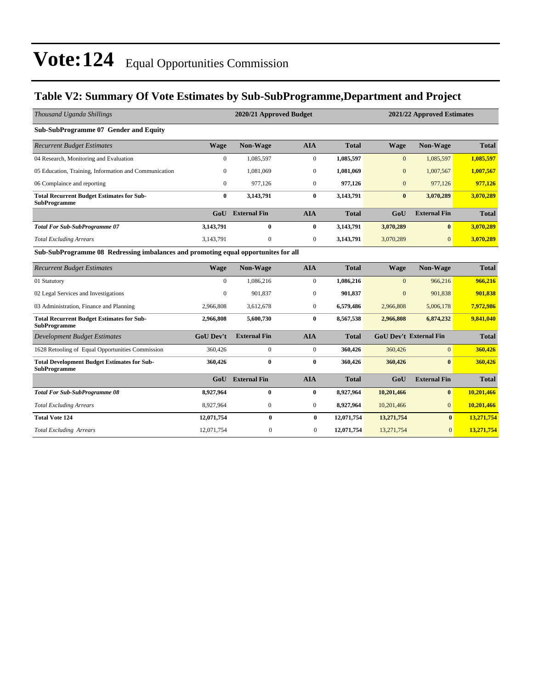### **Table V2: Summary Of Vote Estimates by Sub-SubProgramme,Department and Project**

| Thousand Uganda Shillings                                                          |                  | 2020/21 Approved Budget<br>2021/22 Approved Estimates |                  |              |                |                               |              |
|------------------------------------------------------------------------------------|------------------|-------------------------------------------------------|------------------|--------------|----------------|-------------------------------|--------------|
| Sub-SubProgramme 07 Gender and Equity                                              |                  |                                                       |                  |              |                |                               |              |
| <b>Recurrent Budget Estimates</b>                                                  | <b>Wage</b>      | Non-Wage                                              | <b>AIA</b>       | <b>Total</b> | <b>Wage</b>    | Non-Wage                      | <b>Total</b> |
| 04 Research, Monitoring and Evaluation                                             | $\mathbf{0}$     | 1,085,597                                             | $\mathbf{0}$     | 1,085,597    | $\mathbf{0}$   | 1,085,597                     | 1,085,597    |
| 05 Education, Training, Information and Communication                              | $\Omega$         | 1,081,069                                             | $\mathbf{0}$     | 1,081,069    | $\mathbf{0}$   | 1,007,567                     | 1,007,567    |
| 06 Complaince and reporting                                                        | $\overline{0}$   | 977,126                                               | $\boldsymbol{0}$ | 977,126      | $\mathbf{0}$   | 977,126                       | 977,126      |
| <b>Total Recurrent Budget Estimates for Sub-</b><br><b>SubProgramme</b>            | $\bf{0}$         | 3,143,791                                             | $\mathbf{0}$     | 3,143,791    | $\mathbf{0}$   | 3,070,289                     | 3,070,289    |
|                                                                                    | GoU              | <b>External Fin</b>                                   | <b>AIA</b>       | <b>Total</b> | GoU            | <b>External Fin</b>           | <b>Total</b> |
| <b>Total For Sub-SubProgramme 07</b>                                               | 3,143,791        | 0                                                     | $\bf{0}$         | 3,143,791    | 3,070,289      | $\bf{0}$                      | 3,070,289    |
| <b>Total Excluding Arrears</b>                                                     | 3,143,791        | $\mathbf{0}$                                          | $\mathbf{0}$     | 3,143,791    | 3,070,289      | $\overline{0}$                | 3,070,289    |
| Sub-SubProgramme 08 Redressing imbalances and promoting equal opportunites for all |                  |                                                       |                  |              |                |                               |              |
| <b>Recurrent Budget Estimates</b>                                                  | <b>Wage</b>      | Non-Wage                                              | <b>AIA</b>       | <b>Total</b> | <b>Wage</b>    | Non-Wage                      | <b>Total</b> |
| 01 Statutory                                                                       | $\overline{0}$   | 1,086,216                                             | $\mathbf{0}$     | 1,086,216    | $\mathbf{0}$   | 966,216                       | 966.216      |
| 02 Legal Services and Investigations                                               | $\Omega$         | 901,837                                               | $\mathbf{0}$     | 901,837      | $\overline{0}$ | 901,838                       | 901,838      |
| 03 Administration, Finance and Planning                                            | 2,966,808        | 3,612,678                                             | $\boldsymbol{0}$ | 6,579,486    | 2,966,808      | 5,006,178                     | 7,972,986    |
| <b>Total Recurrent Budget Estimates for Sub-</b><br><b>SubProgramme</b>            | 2.966.808        | 5,600,730                                             | $\bf{0}$         | 8,567,538    | 2.966,808      | 6,874,232                     | 9,841,040    |
| <b>Development Budget Estimates</b>                                                | <b>GoU Dev't</b> | <b>External Fin</b>                                   | <b>AIA</b>       | <b>Total</b> |                | <b>GoU Dev't External Fin</b> | <b>Total</b> |
| 1628 Retooling of Equal Opportunities Commission                                   | 360,426          | $\mathbf{0}$                                          | $\mathbf{0}$     | 360,426      | 360,426        | $\overline{0}$                | 360,426      |
| <b>Total Development Budget Estimates for Sub-</b><br><b>SubProgramme</b>          | 360,426          | $\bf{0}$                                              | $\bf{0}$         | 360,426      | 360,426        | $\mathbf{0}$                  | 360,426      |
|                                                                                    | GoU              | <b>External Fin</b>                                   | <b>AIA</b>       | <b>Total</b> | GoU            | <b>External Fin</b>           | <b>Total</b> |
| <b>Total For Sub-SubProgramme 08</b>                                               | 8,927,964        | $\bf{0}$                                              | $\bf{0}$         | 8,927,964    | 10,201,466     | $\bf{0}$                      | 10.201.466   |
| <b>Total Excluding Arrears</b>                                                     | 8,927,964        | $\boldsymbol{0}$                                      | $\boldsymbol{0}$ | 8,927,964    | 10,201,466     | $\overline{0}$                | 10,201,466   |
| <b>Total Vote 124</b>                                                              | 12,071,754       | $\bf{0}$                                              | $\bf{0}$         | 12,071,754   | 13,271,754     | $\bf{0}$                      | 13,271,754   |
| <b>Total Excluding Arrears</b>                                                     | 12,071,754       | $\mathbf{0}$                                          | $\mathbf{0}$     | 12,071,754   | 13,271,754     | $\mathbf{0}$                  | 13,271,754   |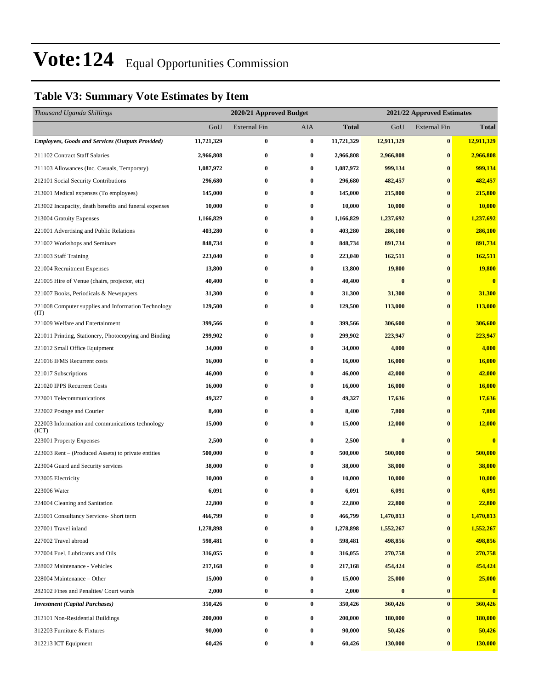### **Table V3: Summary Vote Estimates by Item**

| Thousand Uganda Shillings                                   |            |                     | 2020/21 Approved Budget<br>2021/22 Approved Estimates |              |                  |                     |                         |
|-------------------------------------------------------------|------------|---------------------|-------------------------------------------------------|--------------|------------------|---------------------|-------------------------|
|                                                             | GoU        | <b>External Fin</b> | <b>AIA</b>                                            | <b>Total</b> | GoU              | <b>External Fin</b> | <b>Total</b>            |
| Employees, Goods and Services (Outputs Provided)            | 11,721,329 | $\bf{0}$            | $\bf{0}$                                              | 11,721,329   | 12,911,329       | $\pmb{0}$           | 12,911,329              |
| 211102 Contract Staff Salaries                              | 2,966,808  | $\bf{0}$            | $\bf{0}$                                              | 2,966,808    | 2,966,808        | $\bf{0}$            | 2,966,808               |
| 211103 Allowances (Inc. Casuals, Temporary)                 | 1,087,972  | $\bf{0}$            | $\bf{0}$                                              | 1,087,972    | 999,134          | $\bf{0}$            | 999,134                 |
| 212101 Social Security Contributions                        | 296,680    | $\bf{0}$            | $\bf{0}$                                              | 296,680      | 482,457          | $\bf{0}$            | 482,457                 |
| 213001 Medical expenses (To employees)                      | 145,000    | $\bf{0}$            | $\bf{0}$                                              | 145,000      | 215,800          | $\bf{0}$            | 215,800                 |
| 213002 Incapacity, death benefits and funeral expenses      | 10,000     | $\bf{0}$            | $\bf{0}$                                              | 10,000       | 10,000           | $\bf{0}$            | 10,000                  |
| 213004 Gratuity Expenses                                    | 1,166,829  | $\bf{0}$            | $\bf{0}$                                              | 1,166,829    | 1,237,692        | $\bf{0}$            | 1,237,692               |
| 221001 Advertising and Public Relations                     | 403,280    | $\bf{0}$            | $\bf{0}$                                              | 403,280      | 286,100          | $\bf{0}$            | 286,100                 |
| 221002 Workshops and Seminars                               | 848,734    | $\bf{0}$            | $\bf{0}$                                              | 848,734      | 891,734          | $\bf{0}$            | 891,734                 |
| 221003 Staff Training                                       | 223,040    | $\bf{0}$            | $\bf{0}$                                              | 223,040      | 162,511          | $\bf{0}$            | 162,511                 |
| 221004 Recruitment Expenses                                 | 13,800     | $\bf{0}$            | $\bf{0}$                                              | 13,800       | 19,800           | $\bf{0}$            | <b>19,800</b>           |
| 221005 Hire of Venue (chairs, projector, etc)               | 40,400     | $\bf{0}$            | $\bf{0}$                                              | 40,400       | $\bf{0}$         | $\bf{0}$            | $\overline{\mathbf{0}}$ |
| 221007 Books, Periodicals & Newspapers                      | 31,300     | $\bf{0}$            | $\bf{0}$                                              | 31,300       | 31,300           | $\bf{0}$            | 31,300                  |
| 221008 Computer supplies and Information Technology<br>(TT) | 129,500    | $\bf{0}$            | $\bf{0}$                                              | 129,500      | 113,000          | $\bf{0}$            | <b>113,000</b>          |
| 221009 Welfare and Entertainment                            | 399,566    | $\bf{0}$            | $\bf{0}$                                              | 399,566      | 306,600          | $\bf{0}$            | 306,600                 |
| 221011 Printing, Stationery, Photocopying and Binding       | 299,902    | $\bf{0}$            | $\bf{0}$                                              | 299,902      | 223,947          | $\bf{0}$            | 223,947                 |
| 221012 Small Office Equipment                               | 34,000     | $\bf{0}$            | $\bf{0}$                                              | 34,000       | 4,000            | $\bf{0}$            | 4,000                   |
| 221016 IFMS Recurrent costs                                 | 16,000     | $\bf{0}$            | $\bf{0}$                                              | 16,000       | 16,000           | $\bf{0}$            | 16,000                  |
| 221017 Subscriptions                                        | 46,000     | $\bf{0}$            | $\bf{0}$                                              | 46,000       | 42,000           | $\bf{0}$            | 42,000                  |
| 221020 IPPS Recurrent Costs                                 | 16,000     | $\bf{0}$            | $\bf{0}$                                              | 16,000       | 16,000           | $\bf{0}$            | 16,000                  |
| 222001 Telecommunications                                   | 49,327     | $\bf{0}$            | $\bf{0}$                                              | 49,327       | 17,636           | $\bf{0}$            | 17,636                  |
| 222002 Postage and Courier                                  | 8,400      | $\bf{0}$            | $\bf{0}$                                              | 8,400        | 7,800            | $\bf{0}$            | 7,800                   |
| 222003 Information and communications technology<br>(ICT)   | 15,000     | $\bf{0}$            | $\bf{0}$                                              | 15,000       | 12,000           | $\bf{0}$            | 12,000                  |
| 223001 Property Expenses                                    | 2,500      | $\bf{0}$            | $\bf{0}$                                              | 2,500        | $\boldsymbol{0}$ | $\bf{0}$            | $\bf{0}$                |
| 223003 Rent – (Produced Assets) to private entities         | 500,000    | $\bf{0}$            | $\bf{0}$                                              | 500,000      | 500,000          | $\bf{0}$            | 500,000                 |
| 223004 Guard and Security services                          | 38,000     | $\bf{0}$            | $\bf{0}$                                              | 38,000       | 38,000           | $\bf{0}$            | 38,000                  |
| 223005 Electricity                                          | 10,000     | 0                   | $\bf{0}$                                              | 10,000       | 10,000           | $\bf{0}$            | 10,000                  |
| 223006 Water                                                | 6,091      | $\bf{0}$            | $\bf{0}$                                              | 6,091        | 6,091            | $\bf{0}$            | 6,091                   |
| 224004 Cleaning and Sanitation                              | 22,800     | $\bf{0}$            | $\bf{0}$                                              | 22,800       | 22,800           | $\bf{0}$            | 22,800                  |
| 225001 Consultancy Services- Short term                     | 466,799    | 0                   | $\bf{0}$                                              | 466,799      | 1,470,813        | $\bf{0}$            | 1,470,813               |
| 227001 Travel inland                                        | 1,278,898  | $\bf{0}$            | $\bf{0}$                                              | 1,278,898    | 1,552,267        | $\bf{0}$            | 1,552,267               |
| 227002 Travel abroad                                        | 598,481    | $\bf{0}$            | $\bf{0}$                                              | 598,481      | 498,856          | $\bf{0}$            | 498,856                 |
| 227004 Fuel, Lubricants and Oils                            | 316,055    | $\bf{0}$            | $\bf{0}$                                              | 316,055      | 270,758          | $\bf{0}$            | 270,758                 |
| 228002 Maintenance - Vehicles                               | 217,168    | $\bf{0}$            | $\bf{0}$                                              | 217,168      | 454,424          | $\bf{0}$            | 454,424                 |
| 228004 Maintenance – Other                                  | 15,000     | $\bf{0}$            | $\bf{0}$                                              | 15,000       | 25,000           | $\bf{0}$            | 25,000                  |
| 282102 Fines and Penalties/ Court wards                     | 2,000      | $\bf{0}$            | $\bf{0}$                                              | 2,000        | $\bf{0}$         | $\bf{0}$            | $\boldsymbol{0}$        |
| <b>Investment</b> (Capital Purchases)                       | 350,426    | $\bf{0}$            | $\bf{0}$                                              | 350,426      | 360,426          | $\bf{0}$            | 360,426                 |
| 312101 Non-Residential Buildings                            | 200,000    | $\bf{0}$            | $\bf{0}$                                              | 200,000      | 180,000          | $\bf{0}$            | 180,000                 |
| 312203 Furniture & Fixtures                                 | 90,000     | $\bf{0}$            | $\bf{0}$                                              | 90,000       | 50,426           | $\bf{0}$            | 50,426                  |
| 312213 ICT Equipment                                        | 60,426     | $\bf{0}$            | $\bf{0}$                                              | 60,426       | 130,000          | $\bf{0}$            | 130,000                 |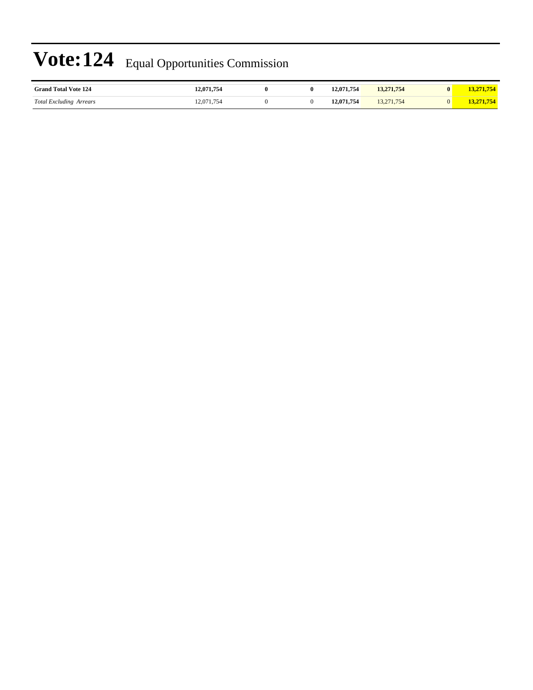| <b>Grand Total Vote 124</b>                   | <b>12,071,754</b> |  | 12,071,754        | 13,271,754       | $\mathbf{0}$ | FIE.       |
|-----------------------------------------------|-------------------|--|-------------------|------------------|--------------|------------|
| <b>Total Excluding</b><br>Arrears<br>$\cdots$ | 12,071,754        |  | 071.754<br>, 1171 | 71,754<br>استباب |              | <b>FIE</b> |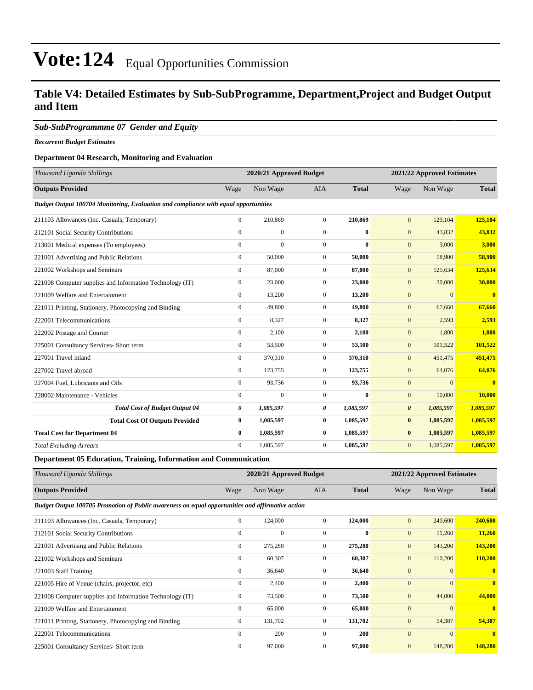#### **Table V4: Detailed Estimates by Sub-SubProgramme, Department,Project and Budget Output and Item**

#### *Sub-SubProgrammme 07 Gender and Equity*

*Recurrent Budget Estimates*

#### **Department 04 Research, Monitoring and Evaluation**

| Thousand Uganda Shillings                                                           |              | 2020/21 Approved Budget |                  |              |                       | 2021/22 Approved Estimates |                         |
|-------------------------------------------------------------------------------------|--------------|-------------------------|------------------|--------------|-----------------------|----------------------------|-------------------------|
| <b>Outputs Provided</b>                                                             | Wage         | Non Wage                | <b>AIA</b>       | <b>Total</b> | Wage                  | Non Wage                   | <b>Total</b>            |
| Budget Output 100704 Monitoring, Evaluation and compliance with equal opportunities |              |                         |                  |              |                       |                            |                         |
| 211103 Allowances (Inc. Casuals, Temporary)                                         | $\mathbf{0}$ | 210,869                 | $\overline{0}$   | 210.869      | $\mathbf{0}$          | 125,104                    | 125,104                 |
| 212101 Social Security Contributions                                                | $\mathbf{0}$ | $\overline{0}$          | $\overline{0}$   | $\mathbf{0}$ | $\mathbf{0}$          | 43,832                     | 43,832                  |
| 213001 Medical expenses (To employees)                                              | $\mathbf{0}$ | $\overline{0}$          | $\overline{0}$   | $\mathbf{0}$ | $\mathbf{0}$          | 3,000                      | 3,000                   |
| 221001 Advertising and Public Relations                                             | $\mathbf{0}$ | 50,000                  | $\boldsymbol{0}$ | 50,000       | $\mathbf{0}$          | 58,900                     | 58,900                  |
| 221002 Workshops and Seminars                                                       | $\Omega$     | 87,000                  | $\overline{0}$   | 87,000       | $\mathbf{0}$          | 125,634                    | 125,634                 |
| 221008 Computer supplies and Information Technology (IT)                            | $\mathbf{0}$ | 23,000                  | $\overline{0}$   | 23,000       | $\mathbf{0}$          | 30,000                     | 30,000                  |
| 221009 Welfare and Entertainment                                                    | $\mathbf{0}$ | 13,200                  | $\overline{0}$   | 13,200       | $\mathbf{0}$          | $\mathbf{0}$               | $\overline{\mathbf{0}}$ |
| 221011 Printing, Stationery, Photocopying and Binding                               | $\mathbf{0}$ | 49,800                  | $\overline{0}$   | 49.800       | $\mathbf{0}$          | 67,660                     | 67,660                  |
| 222001 Telecommunications                                                           | $\mathbf{0}$ | 8,327                   | $\overline{0}$   | 8,327        | $\mathbf{0}$          | 2,593                      | 2,593                   |
| 222002 Postage and Courier                                                          | $\mathbf{0}$ | 2,100                   | $\overline{0}$   | 2,100        | $\mathbf{0}$          | 1,800                      | 1,800                   |
| 225001 Consultancy Services- Short term                                             | $\mathbf{0}$ | 53,500                  | $\overline{0}$   | 53,500       | $\mathbf{0}$          | 101,522                    | 101,522                 |
| 227001 Travel inland                                                                | $\Omega$     | 370,310                 | $\overline{0}$   | 370,310      | $\mathbf{0}$          | 451,475                    | 451,475                 |
| 227002 Travel abroad                                                                | $\mathbf{0}$ | 123,755                 | $\overline{0}$   | 123,755      | $\mathbf{0}$          | 64,076                     | 64,076                  |
| 227004 Fuel. Lubricants and Oils                                                    | $\mathbf{0}$ | 93,736                  | $\overline{0}$   | 93,736       | $\mathbf{0}$          | $\mathbf{0}$               | $\overline{0}$          |
| 228002 Maintenance - Vehicles                                                       | $\Omega$     | $\Omega$                | $\Omega$         | $\mathbf{0}$ | $\mathbf{0}$          | 10,000                     | 10,000                  |
| <b>Total Cost of Budget Output 04</b>                                               | 0            | 1,085,597               | 0                | 1,085,597    | $\boldsymbol{\theta}$ | 1,085,597                  | 1,085,597               |
| <b>Total Cost Of Outputs Provided</b>                                               | $\bf{0}$     | 1,085,597               | $\bf{0}$         | 1,085,597    | $\bf{0}$              | 1,085,597                  | 1,085,597               |
| <b>Total Cost for Department 04</b>                                                 | $\bf{0}$     | 1,085,597               | $\bf{0}$         | 1,085,597    | $\bf{0}$              | 1,085,597                  | 1,085,597               |
| <b>Total Excluding Arrears</b>                                                      | $\Omega$     | 1,085,597               | $\overline{0}$   | 1,085,597    | $\mathbf{0}$          | 1,085,597                  | 1,085,597               |

**Department 05 Education, Training, Information and Communication**

| Thousand Uganda Shillings                                                                        |              | 2020/21 Approved Budget |                |              |                | 2021/22 Approved Estimates |                         |  |
|--------------------------------------------------------------------------------------------------|--------------|-------------------------|----------------|--------------|----------------|----------------------------|-------------------------|--|
| <b>Outputs Provided</b>                                                                          | Wage         | Non Wage                | <b>AIA</b>     | <b>Total</b> | Wage           | Non Wage                   | <b>Total</b>            |  |
| Budget Output 100705 Promotion of Public awareness on equal opportunities and affirmative action |              |                         |                |              |                |                            |                         |  |
| 211103 Allowances (Inc. Casuals, Temporary)                                                      | $\mathbf{0}$ | 124,000                 | $\overline{0}$ | 124,000      | $\mathbf{0}$   | 240,600                    | 240,600                 |  |
| 212101 Social Security Contributions                                                             | $\mathbf{0}$ | $\mathbf{0}$            | $\Omega$       | $\bf{0}$     | $\overline{0}$ | 11,260                     | 11,260                  |  |
| 221001 Advertising and Public Relations                                                          | $\mathbf{0}$ | 275,280                 | 0              | 275,280      | $\overline{0}$ | 143,200                    | 143,200                 |  |
| 221002 Workshops and Seminars                                                                    | $\mathbf{0}$ | 60,307                  | $\Omega$       | 60,307       | $\mathbf{0}$   | 110,200                    | 110,200                 |  |
| 221003 Staff Training                                                                            | 0            | 36,640                  | 0              | 36,640       | $\mathbf{0}$   | $\mathbf{0}$               | $\overline{\mathbf{0}}$ |  |
| 221005 Hire of Venue (chairs, projector, etc)                                                    | $\mathbf{0}$ | 2,400                   | 0              | 2,400        | $\mathbf{0}$   | $\overline{0}$             | $\overline{0}$          |  |
| 221008 Computer supplies and Information Technology (IT)                                         | $\mathbf{0}$ | 73,500                  | 0              | 73,500       | $\mathbf{0}$   | 44,000                     | 44,000                  |  |
| 221009 Welfare and Entertainment                                                                 | $\mathbf{0}$ | 65,000                  | 0              | 65,000       | $\mathbf{0}$   | $\overline{0}$             | $\mathbf{0}$            |  |
| 221011 Printing, Stationery, Photocopying and Binding                                            | $\mathbf{0}$ | 131,702                 | $\overline{0}$ | 131,702      | $\mathbf{0}$   | 54,387                     | 54,387                  |  |
| 222001 Telecommunications                                                                        | $\Omega$     | 200                     | $\Omega$       | <b>200</b>   | $\mathbf{0}$   | $\mathbf{0}$               | $\mathbf{0}$            |  |
| 225001 Consultancy Services- Short term                                                          | $\mathbf{0}$ | 97,000                  | 0              | 97,000       | $\mathbf{0}$   | 148,280                    | 148,280                 |  |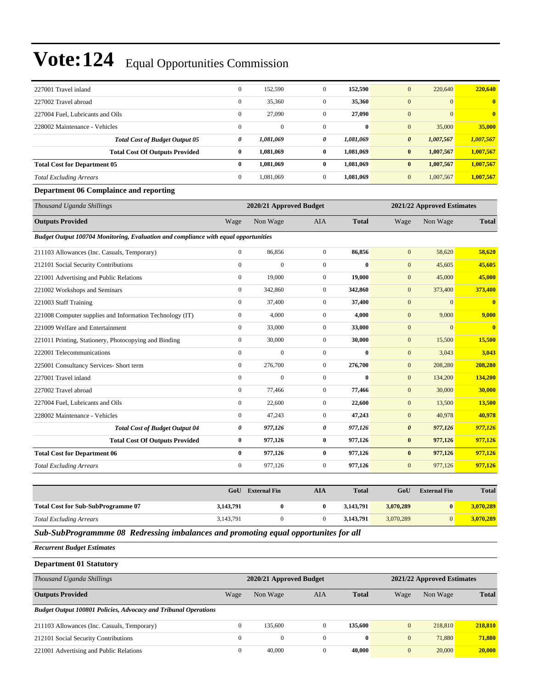| 227001 Travel inland                                                                | $\boldsymbol{0}$ | 152,590                 | $\mathbf{0}$     | 152,590      | $\overline{0}$        | 220,640                    | 220,640        |
|-------------------------------------------------------------------------------------|------------------|-------------------------|------------------|--------------|-----------------------|----------------------------|----------------|
| 227002 Travel abroad                                                                | $\overline{0}$   | 35,360                  | $\mathbf{0}$     | 35,360       | $\mathbf{0}$          | $\mathbf{0}$               | $\bf{0}$       |
| 227004 Fuel, Lubricants and Oils                                                    | $\boldsymbol{0}$ | 27,090                  | $\mathbf{0}$     | 27,090       | $\overline{0}$        | $\mathbf{0}$               | $\overline{0}$ |
| 228002 Maintenance - Vehicles                                                       | $\boldsymbol{0}$ | $\boldsymbol{0}$        | $\boldsymbol{0}$ | $\bf{0}$     | $\boldsymbol{0}$      | 35,000                     | 35,000         |
| <b>Total Cost of Budget Output 05</b>                                               | 0                | 1,081,069               | $\pmb{\theta}$   | 1,081,069    | $\pmb{\theta}$        | 1,007,567                  | 1,007,567      |
| <b>Total Cost Of Outputs Provided</b>                                               | $\bf{0}$         | 1,081,069               | $\bf{0}$         | 1,081,069    | $\bf{0}$              | 1,007,567                  | 1,007,567      |
| <b>Total Cost for Department 05</b>                                                 | $\bf{0}$         | 1,081,069               | $\bf{0}$         | 1,081,069    | $\bf{0}$              | 1,007,567                  | 1,007,567      |
| <b>Total Excluding Arrears</b>                                                      | $\boldsymbol{0}$ | 1,081,069               | $\mathbf{0}$     | 1,081,069    | $\overline{0}$        | 1,007,567                  | 1,007,567      |
| <b>Department 06 Complaince and reporting</b>                                       |                  |                         |                  |              |                       |                            |                |
| Thousand Uganda Shillings                                                           |                  | 2020/21 Approved Budget |                  |              |                       | 2021/22 Approved Estimates |                |
| <b>Outputs Provided</b>                                                             | Wage             | Non Wage                | <b>AIA</b>       | <b>Total</b> | Wage                  | Non Wage                   | <b>Total</b>   |
| Budget Output 100704 Monitoring, Evaluation and compliance with equal opportunities |                  |                         |                  |              |                       |                            |                |
| 211103 Allowances (Inc. Casuals, Temporary)                                         | $\mathbf{0}$     | 86,856                  | $\boldsymbol{0}$ | 86,856       | $\mathbf{0}$          | 58,620                     | 58,620         |
| 212101 Social Security Contributions                                                | $\overline{0}$   | $\overline{0}$          | $\boldsymbol{0}$ | $\bf{0}$     | $\overline{0}$        | 45,605                     | 45,605         |
| 221001 Advertising and Public Relations                                             | $\boldsymbol{0}$ | 19,000                  | $\mathbf{0}$     | 19,000       | $\overline{0}$        | 45,000                     | 45,000         |
| 221002 Workshops and Seminars                                                       | $\boldsymbol{0}$ | 342,860                 | $\mathbf{0}$     | 342,860      | $\mathbf{0}$          | 373,400                    | 373,400        |
| 221003 Staff Training                                                               | $\boldsymbol{0}$ | 37,400                  | $\mathbf{0}$     | 37,400       | $\boldsymbol{0}$      | $\boldsymbol{0}$           | $\bf{0}$       |
| 221008 Computer supplies and Information Technology (IT)                            | $\boldsymbol{0}$ | 4,000                   | $\mathbf{0}$     | 4,000        | $\mathbf{0}$          | 9,000                      | 9,000          |
| 221009 Welfare and Entertainment                                                    | $\boldsymbol{0}$ | 33,000                  | $\boldsymbol{0}$ | 33,000       | $\boldsymbol{0}$      | $\mathbf{0}$               | $\bf{0}$       |
| 221011 Printing, Stationery, Photocopying and Binding                               | $\mathbf{0}$     | 30,000                  | $\mathbf{0}$     | 30,000       | $\mathbf{0}$          | 15,500                     | 15,500         |
| 222001 Telecommunications                                                           | $\mathbf{0}$     | $\theta$                | $\mathbf{0}$     | $\bf{0}$     | $\overline{0}$        | 3,043                      | 3,043          |
| 225001 Consultancy Services- Short term                                             | $\overline{0}$   | 276,700                 | $\overline{0}$   | 276,700      | $\mathbf{0}$          | 208,280                    | 208,280        |
| 227001 Travel inland                                                                | $\overline{0}$   | $\mathbf{0}$            | $\mathbf{0}$     | $\bf{0}$     | $\boldsymbol{0}$      | 134,200                    | 134,200        |
| 227002 Travel abroad                                                                | $\boldsymbol{0}$ | 77,466                  | $\mathbf{0}$     | 77,466       | $\overline{0}$        | 30,000                     | 30,000         |
| 227004 Fuel, Lubricants and Oils                                                    | $\boldsymbol{0}$ | 22,600                  | $\boldsymbol{0}$ | 22,600       | $\overline{0}$        | 13,500                     | 13,500         |
| 228002 Maintenance - Vehicles                                                       | $\boldsymbol{0}$ | 47,243                  | $\boldsymbol{0}$ | 47,243       | $\overline{0}$        | 40,978                     | 40,978         |
| <b>Total Cost of Budget Output 04</b>                                               | 0                | 977,126                 | $\pmb{\theta}$   | 977,126      | $\boldsymbol{\theta}$ | 977,126                    | 977,126        |
| <b>Total Cost Of Outputs Provided</b>                                               | $\bf{0}$         | 977,126                 | $\bf{0}$         | 977,126      | $\bf{0}$              | 977,126                    | 977,126        |
| <b>Total Cost for Department 06</b>                                                 | $\bf{0}$         | 977,126                 | $\bf{0}$         | 977,126      | $\bf{0}$              | 977,126                    | 977,126        |
| <b>Total Excluding Arrears</b>                                                      | $\boldsymbol{0}$ | 977,126                 | $\boldsymbol{0}$ | 977,126      | $\overline{0}$        | 977,126                    | 977,126        |
|                                                                                     |                  |                         |                  |              |                       |                            |                |
|                                                                                     |                  | GoU External Fin        | <b>AIA</b>       | <b>Total</b> | GoU                   | <b>External Fin</b>        | <b>Total</b>   |

|                                           | GoU       | <b>External Fin</b> | AIA | <b>Total</b> | GoU       | <b>External Fin</b> | <b>Total</b> |
|-------------------------------------------|-----------|---------------------|-----|--------------|-----------|---------------------|--------------|
| <b>Total Cost for Sub-SubProgramme 07</b> | 3,143,791 |                     |     | 3.143.791    | 3.070.289 | 0                   | 3,070,289    |
| <b>Total Excluding Arrears</b>            | 3,143,791 |                     |     | 3,143,791    | 3.070.289 |                     | 3,070,289    |
|                                           |           |                     |     |              |           |                     |              |

*Sub-SubProgrammme 08 Redressing imbalances and promoting equal opportunites for all*

*Recurrent Budget Estimates*

**Department 01 Statutory**

| Thousand Uganda Shillings                                              |              | 2020/21 Approved Budget |     |              | 2021/22 Approved Estimates |          |              |  |
|------------------------------------------------------------------------|--------------|-------------------------|-----|--------------|----------------------------|----------|--------------|--|
| <b>Outputs Provided</b>                                                | Wage         | Non Wage                | AIA | <b>Total</b> | Wage                       | Non Wage | <b>Total</b> |  |
| <b>Budget Output 100801 Policies, Advocacy and Tribunal Operations</b> |              |                         |     |              |                            |          |              |  |
| 211103 Allowances (Inc. Casuals, Temporary)                            | $\Omega$     | 135,600                 |     | 135,600      | $\mathbf{0}$               | 218,810  | 218,810      |  |
| 212101 Social Security Contributions                                   | $\Omega$     | $\Omega$                |     | $\mathbf{0}$ | $\mathbf{0}$               | 71,880   | 71,880       |  |
| 221001 Advertising and Public Relations                                | $\mathbf{0}$ | 40,000                  |     | 40,000       | $\mathbf{0}$               | 20,000   | 20,000       |  |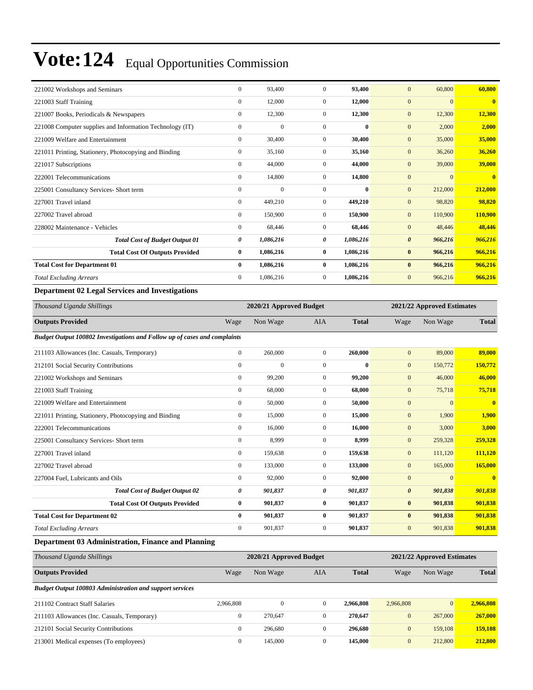| 221002 Workshops and Seminars                            | $\mathbf{0}$   | 93.400       | $\Omega$       | 93,400    | 60,800<br>$\mathbf{0}$           | 60,800                  |
|----------------------------------------------------------|----------------|--------------|----------------|-----------|----------------------------------|-------------------------|
| 221003 Staff Training                                    | $\mathbf{0}$   | 12,000       | $\overline{0}$ | 12,000    | $\mathbf{0}$<br>$\overline{0}$   | $\overline{\mathbf{0}}$ |
| 221007 Books, Periodicals & Newspapers                   | $\mathbf{0}$   | 12,300       | $\overline{0}$ | 12,300    | 12,300<br>$\mathbf{0}$           | 12,300                  |
| 221008 Computer supplies and Information Technology (IT) | $\mathbf{0}$   | $\mathbf{0}$ | $\Omega$       | $\bf{0}$  | $\mathbf{0}$<br>2,000            | 2,000                   |
| 221009 Welfare and Entertainment                         | $\mathbf{0}$   | 30,400       | $\overline{0}$ | 30,400    | $\mathbf{0}$<br>35,000           | 35,000                  |
| 221011 Printing, Stationery, Photocopying and Binding    | $\bf{0}$       | 35,160       | $\overline{0}$ | 35,160    | 36,260<br>$\mathbf{0}$           | 36,260                  |
| 221017 Subscriptions                                     | $\mathbf{0}$   | 44,000       | $\overline{0}$ | 44,000    | $\mathbf{0}$<br>39,000           | 39,000                  |
| 222001 Telecommunications                                | $\overline{0}$ | 14,800       | $\overline{0}$ | 14,800    | $\mathbf{0}$<br>$\overline{0}$   | $\overline{\mathbf{0}}$ |
| 225001 Consultancy Services- Short term                  | $\mathbf{0}$   | $\mathbf{0}$ | $\overline{0}$ | $\bf{0}$  | $\mathbf{0}$<br>212,000          | 212,000                 |
| 227001 Travel inland                                     | $\mathbf{0}$   | 449.210      | $\Omega$       | 449.210   | $\mathbf{0}$<br>98,820           | 98.820                  |
| 227002 Travel abroad                                     | $\mathbf{0}$   | 150,900      | $\Omega$       | 150,900   | $\mathbf{0}$<br>110,900          | 110,900                 |
| 228002 Maintenance - Vehicles                            | $\mathbf{0}$   | 68,446       | $\overline{0}$ | 68,446    | $\mathbf{0}$<br>48,446           | 48,446                  |
| <b>Total Cost of Budget Output 01</b>                    | 0              | 1,086,216    | 0              | 1,086,216 | $\boldsymbol{\theta}$<br>966,216 | 966,216                 |
| <b>Total Cost Of Outputs Provided</b>                    | $\bf{0}$       | 1,086,216    | $\bf{0}$       | 1,086,216 | 966,216<br>$\bf{0}$              | 966,216                 |
| <b>Total Cost for Department 01</b>                      | $\bf{0}$       | 1,086,216    | $\bf{0}$       | 1,086,216 | $\bf{0}$<br>966,216              | 966,216                 |
| <b>Total Excluding Arrears</b>                           | $\overline{0}$ | 1,086,216    | $\overline{0}$ | 1,086,216 | $\mathbf{0}$<br>966,216          | 966,216                 |
| <b>Department 02 Legal Services and Investigations</b>   |                |              |                |           |                                  |                         |

| Thousand Uganda Shillings                                                 |                                                       | 2020/21 Approved Budget |                |              |                       | 2021/22 Approved Estimates |              |  |
|---------------------------------------------------------------------------|-------------------------------------------------------|-------------------------|----------------|--------------|-----------------------|----------------------------|--------------|--|
| <b>Outputs Provided</b>                                                   | Wage                                                  | Non Wage                | <b>AIA</b>     | <b>Total</b> | Wage                  | Non Wage                   | <b>Total</b> |  |
| Budget Output 100802 Investigations and Follow up of cases and complaints |                                                       |                         |                |              |                       |                            |              |  |
| 211103 Allowances (Inc. Casuals, Temporary)                               | $\mathbf{0}$                                          | 260,000                 | $\overline{0}$ | 260,000      | $\mathbf{0}$          | 89,000                     | 89,000       |  |
| 212101 Social Security Contributions                                      | $\mathbf{0}$                                          | $\boldsymbol{0}$        | $\overline{0}$ | $\bf{0}$     | $\mathbf{0}$          | 150,772                    | 150,772      |  |
| 221002 Workshops and Seminars                                             | $\mathbf{0}$                                          | 99,200                  | $\overline{0}$ | 99,200       | $\mathbf{0}$          | 46,000                     | 46,000       |  |
| 221003 Staff Training                                                     | $\Omega$                                              | 68,000                  | $\overline{0}$ | 68,000       | $\mathbf{0}$          | 75,718                     | 75,718       |  |
| 221009 Welfare and Entertainment                                          | $\mathbf{0}$                                          | 50,000                  | $\overline{0}$ | 50,000       | $\mathbf{0}$          | $\mathbf{0}$               | $\bf{0}$     |  |
| 221011 Printing, Stationery, Photocopying and Binding                     | $\mathbf{0}$                                          | 15,000                  | $\overline{0}$ | 15,000       | $\mathbf{0}$          | 1,900                      | 1,900        |  |
| 222001 Telecommunications                                                 | $\mathbf{0}$                                          | 16,000                  | $\mathbf{0}$   | 16,000       | $\mathbf{0}$          | 3,000                      | 3,000        |  |
| 225001 Consultancy Services- Short term                                   | $\mathbf{0}$                                          | 8,999                   | $\mathbf{0}$   | 8,999        | $\mathbf{0}$          | 259,328                    | 259,328      |  |
| 227001 Travel inland                                                      | $\boldsymbol{0}$                                      | 159,638                 | $\overline{0}$ | 159,638      | $\mathbf{0}$          | 111,120                    | 111,120      |  |
| 227002 Travel abroad                                                      | $\mathbf{0}$                                          | 133,000                 | $\overline{0}$ | 133,000      | $\mathbf{0}$          | 165,000                    | 165,000      |  |
| 227004 Fuel, Lubricants and Oils                                          | $\mathbf{0}$                                          | 92,000                  | $\overline{0}$ | 92,000       | $\mathbf{0}$          | $\Omega$                   | $\bf{0}$     |  |
| <b>Total Cost of Budget Output 02</b>                                     | 0                                                     | 901,837                 | 0              | 901,837      | $\boldsymbol{\theta}$ | 901,838                    | 901,838      |  |
| <b>Total Cost Of Outputs Provided</b>                                     | $\bf{0}$                                              | 901,837                 | $\bf{0}$       | 901,837      | $\bf{0}$              | 901,838                    | 901,838      |  |
| <b>Total Cost for Department 02</b>                                       | $\bf{0}$                                              | 901,837                 | $\bf{0}$       | 901,837      | $\bf{0}$              | 901,838                    | 901,838      |  |
| <b>Total Excluding Arrears</b>                                            | $\mathbf{0}$                                          | 901,837                 | $\mathbf{0}$   | 901,837      | $\mathbf{0}$          | 901,838                    | 901,838      |  |
| Department 03 Administration, Finance and Planning                        |                                                       |                         |                |              |                       |                            |              |  |
| Thousand Uganda Shillings                                                 | 2020/21 Approved Budget<br>2021/22 Approved Estimates |                         |                |              |                       |                            |              |  |
| <b>Outputs Provided</b>                                                   | Wage                                                  | Non Wage                | <b>AIA</b>     | <b>Total</b> | Wage                  | Non Wage                   | <b>Total</b> |  |
| <b>Budget Output 100803 Administration and support services</b>           |                                                       |                         |                |              |                       |                            |              |  |
| 211102 Contract Staff Salaries                                            | 2,966,808                                             | $\boldsymbol{0}$        | $\mathbf{0}$   | 2,966,808    | 2,966,808             | $\mathbf{0}$               | 2,966,808    |  |
| 211103 Allowances (Inc. Casuals, Temporary)                               | $\mathbf{0}$                                          | 270,647                 | $\overline{0}$ | 270,647      | $\mathbf{0}$          | 267,000                    | 267,000      |  |
| 212101 Social Security Contributions                                      | $\mathbf{0}$                                          | 296,680                 | $\Omega$       | 296.680      | $\mathbf{0}$          | 159,108                    | 159,108      |  |

213001 Medical expenses (To employees) 0 145,000 0 **145,000** 0 212,800 **212,800**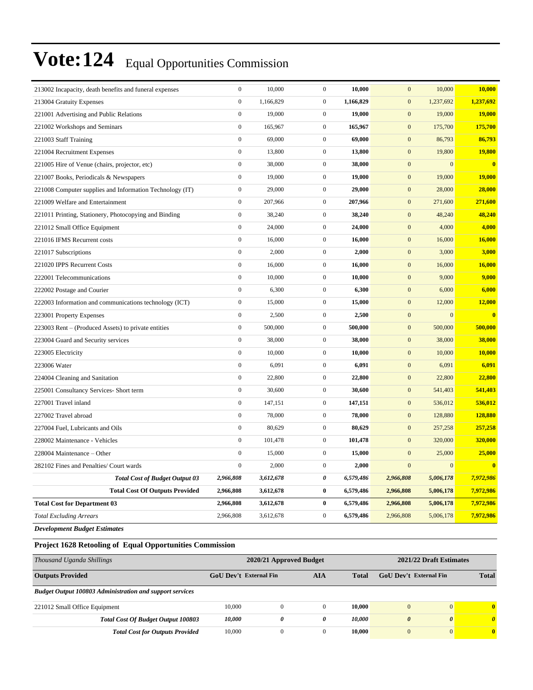| $\mathbf{0}$<br>1,166,829<br>$\overline{0}$<br>1,166,829<br>$\mathbf{0}$<br>1,237,692<br>213004 Gratuity Expenses<br>$\boldsymbol{0}$<br>$\boldsymbol{0}$<br>$\mathbf{0}$<br>19,000<br>19,000<br>19,000<br>221001 Advertising and Public Relations<br>$\boldsymbol{0}$<br>$\boldsymbol{0}$<br>165,967<br>165,967<br>$\mathbf{0}$<br>175,700<br>221002 Workshops and Seminars<br>$\mathbf{0}$<br>$\overline{0}$<br>$\mathbf{0}$<br>69,000<br>69,000<br>86,793<br>221003 Staff Training<br>$\boldsymbol{0}$<br>$\boldsymbol{0}$<br>$\boldsymbol{0}$<br>19,800<br>221004 Recruitment Expenses<br>13,800<br>13,800<br>$\boldsymbol{0}$<br>$\boldsymbol{0}$<br>$\boldsymbol{0}$<br>$\mathbf{0}$<br>221005 Hire of Venue (chairs, projector, etc)<br>38,000<br>38,000<br>$\mathbf{0}$<br>$\boldsymbol{0}$<br>$\boldsymbol{0}$<br>19,000<br>19,000<br>19,000<br>221007 Books, Periodicals & Newspapers<br>$\boldsymbol{0}$<br>29,000<br>$\boldsymbol{0}$<br>29,000<br>$\boldsymbol{0}$<br>28,000<br>221008 Computer supplies and Information Technology (IT)<br>$\boldsymbol{0}$<br>207,966<br>$\overline{0}$<br>207,966<br>$\boldsymbol{0}$<br>221009 Welfare and Entertainment<br>271,600<br>$\boldsymbol{0}$<br>$\boldsymbol{0}$<br>38,240<br>38,240<br>$\mathbf{0}$<br>48,240<br>221011 Printing, Stationery, Photocopying and Binding<br>$\boldsymbol{0}$<br>$\boldsymbol{0}$<br>$\mathbf{0}$<br>24,000<br>24,000<br>4,000<br>221012 Small Office Equipment<br>$\boldsymbol{0}$<br>$\boldsymbol{0}$<br>$\boldsymbol{0}$<br>16,000<br>221016 IFMS Recurrent costs<br>16,000<br>16,000<br>$\boldsymbol{0}$<br>2,000<br>$\overline{0}$<br>2,000<br>$\mathbf{0}$<br>3,000<br>221017 Subscriptions<br>$\boldsymbol{0}$<br>16,000<br>$\boldsymbol{0}$<br>$\boldsymbol{0}$<br>16,000<br>221020 IPPS Recurrent Costs<br>16,000<br>$\boldsymbol{0}$<br>10,000<br>$\boldsymbol{0}$<br>$\boldsymbol{0}$<br>9,000<br>222001 Telecommunications<br>10,000<br>$\mathbf{0}$<br>$\boldsymbol{0}$<br>$\mathbf{0}$<br>6,000<br>6,300<br>6,300<br>222002 Postage and Courier<br>$\boldsymbol{0}$<br>15,000<br>$\boldsymbol{0}$<br>15,000<br>$\boldsymbol{0}$<br>12,000<br>222003 Information and communications technology (ICT)<br>$\boldsymbol{0}$<br>2,500<br>$\overline{0}$<br>2,500<br>$\boldsymbol{0}$<br>$\mathbf{0}$<br>223001 Property Expenses<br>$\boldsymbol{0}$<br>223003 Rent – (Produced Assets) to private entities<br>500,000<br>$\mathbf{0}$<br>500,000<br>$\mathbf{0}$<br>500,000<br>$\boldsymbol{0}$<br>38,000<br>$\boldsymbol{0}$<br>38,000<br>$\mathbf{0}$<br>38,000<br>223004 Guard and Security services<br>$\boldsymbol{0}$<br>10,000<br>$\overline{0}$<br>$\boldsymbol{0}$<br>10,000<br>223005 Electricity<br>10,000<br>$\mathbf{0}$<br>$\boldsymbol{0}$<br>223006 Water<br>6,091<br>6,091<br>$\mathbf{0}$<br>6,091 | 213002 Incapacity, death benefits and funeral expenses | $\boldsymbol{0}$ | 10,000 | $\boldsymbol{0}$ | 10,000 | $\mathbf{0}$     | 10,000 | 10,000                  |
|--------------------------------------------------------------------------------------------------------------------------------------------------------------------------------------------------------------------------------------------------------------------------------------------------------------------------------------------------------------------------------------------------------------------------------------------------------------------------------------------------------------------------------------------------------------------------------------------------------------------------------------------------------------------------------------------------------------------------------------------------------------------------------------------------------------------------------------------------------------------------------------------------------------------------------------------------------------------------------------------------------------------------------------------------------------------------------------------------------------------------------------------------------------------------------------------------------------------------------------------------------------------------------------------------------------------------------------------------------------------------------------------------------------------------------------------------------------------------------------------------------------------------------------------------------------------------------------------------------------------------------------------------------------------------------------------------------------------------------------------------------------------------------------------------------------------------------------------------------------------------------------------------------------------------------------------------------------------------------------------------------------------------------------------------------------------------------------------------------------------------------------------------------------------------------------------------------------------------------------------------------------------------------------------------------------------------------------------------------------------------------------------------------------------------------------------------------------------------------------------------------------------------------------------------------------------------------------------------------------------------------------------------------------------------------------------------------------------------------------------------------------------------------------------------------------------------|--------------------------------------------------------|------------------|--------|------------------|--------|------------------|--------|-------------------------|
|                                                                                                                                                                                                                                                                                                                                                                                                                                                                                                                                                                                                                                                                                                                                                                                                                                                                                                                                                                                                                                                                                                                                                                                                                                                                                                                                                                                                                                                                                                                                                                                                                                                                                                                                                                                                                                                                                                                                                                                                                                                                                                                                                                                                                                                                                                                                                                                                                                                                                                                                                                                                                                                                                                                                                                                                                          |                                                        |                  |        |                  |        |                  |        | 1,237,692               |
|                                                                                                                                                                                                                                                                                                                                                                                                                                                                                                                                                                                                                                                                                                                                                                                                                                                                                                                                                                                                                                                                                                                                                                                                                                                                                                                                                                                                                                                                                                                                                                                                                                                                                                                                                                                                                                                                                                                                                                                                                                                                                                                                                                                                                                                                                                                                                                                                                                                                                                                                                                                                                                                                                                                                                                                                                          |                                                        |                  |        |                  |        |                  |        | 19,000                  |
|                                                                                                                                                                                                                                                                                                                                                                                                                                                                                                                                                                                                                                                                                                                                                                                                                                                                                                                                                                                                                                                                                                                                                                                                                                                                                                                                                                                                                                                                                                                                                                                                                                                                                                                                                                                                                                                                                                                                                                                                                                                                                                                                                                                                                                                                                                                                                                                                                                                                                                                                                                                                                                                                                                                                                                                                                          |                                                        |                  |        |                  |        |                  |        | 175,700                 |
|                                                                                                                                                                                                                                                                                                                                                                                                                                                                                                                                                                                                                                                                                                                                                                                                                                                                                                                                                                                                                                                                                                                                                                                                                                                                                                                                                                                                                                                                                                                                                                                                                                                                                                                                                                                                                                                                                                                                                                                                                                                                                                                                                                                                                                                                                                                                                                                                                                                                                                                                                                                                                                                                                                                                                                                                                          |                                                        |                  |        |                  |        |                  |        | 86,793                  |
|                                                                                                                                                                                                                                                                                                                                                                                                                                                                                                                                                                                                                                                                                                                                                                                                                                                                                                                                                                                                                                                                                                                                                                                                                                                                                                                                                                                                                                                                                                                                                                                                                                                                                                                                                                                                                                                                                                                                                                                                                                                                                                                                                                                                                                                                                                                                                                                                                                                                                                                                                                                                                                                                                                                                                                                                                          |                                                        |                  |        |                  |        |                  |        | <b>19,800</b>           |
|                                                                                                                                                                                                                                                                                                                                                                                                                                                                                                                                                                                                                                                                                                                                                                                                                                                                                                                                                                                                                                                                                                                                                                                                                                                                                                                                                                                                                                                                                                                                                                                                                                                                                                                                                                                                                                                                                                                                                                                                                                                                                                                                                                                                                                                                                                                                                                                                                                                                                                                                                                                                                                                                                                                                                                                                                          |                                                        |                  |        |                  |        |                  |        | $\overline{\mathbf{0}}$ |
|                                                                                                                                                                                                                                                                                                                                                                                                                                                                                                                                                                                                                                                                                                                                                                                                                                                                                                                                                                                                                                                                                                                                                                                                                                                                                                                                                                                                                                                                                                                                                                                                                                                                                                                                                                                                                                                                                                                                                                                                                                                                                                                                                                                                                                                                                                                                                                                                                                                                                                                                                                                                                                                                                                                                                                                                                          |                                                        |                  |        |                  |        |                  |        | 19,000                  |
|                                                                                                                                                                                                                                                                                                                                                                                                                                                                                                                                                                                                                                                                                                                                                                                                                                                                                                                                                                                                                                                                                                                                                                                                                                                                                                                                                                                                                                                                                                                                                                                                                                                                                                                                                                                                                                                                                                                                                                                                                                                                                                                                                                                                                                                                                                                                                                                                                                                                                                                                                                                                                                                                                                                                                                                                                          |                                                        |                  |        |                  |        |                  |        | 28,000                  |
|                                                                                                                                                                                                                                                                                                                                                                                                                                                                                                                                                                                                                                                                                                                                                                                                                                                                                                                                                                                                                                                                                                                                                                                                                                                                                                                                                                                                                                                                                                                                                                                                                                                                                                                                                                                                                                                                                                                                                                                                                                                                                                                                                                                                                                                                                                                                                                                                                                                                                                                                                                                                                                                                                                                                                                                                                          |                                                        |                  |        |                  |        |                  |        | 271,600                 |
|                                                                                                                                                                                                                                                                                                                                                                                                                                                                                                                                                                                                                                                                                                                                                                                                                                                                                                                                                                                                                                                                                                                                                                                                                                                                                                                                                                                                                                                                                                                                                                                                                                                                                                                                                                                                                                                                                                                                                                                                                                                                                                                                                                                                                                                                                                                                                                                                                                                                                                                                                                                                                                                                                                                                                                                                                          |                                                        |                  |        |                  |        |                  |        | 48,240                  |
|                                                                                                                                                                                                                                                                                                                                                                                                                                                                                                                                                                                                                                                                                                                                                                                                                                                                                                                                                                                                                                                                                                                                                                                                                                                                                                                                                                                                                                                                                                                                                                                                                                                                                                                                                                                                                                                                                                                                                                                                                                                                                                                                                                                                                                                                                                                                                                                                                                                                                                                                                                                                                                                                                                                                                                                                                          |                                                        |                  |        |                  |        |                  |        | 4,000                   |
|                                                                                                                                                                                                                                                                                                                                                                                                                                                                                                                                                                                                                                                                                                                                                                                                                                                                                                                                                                                                                                                                                                                                                                                                                                                                                                                                                                                                                                                                                                                                                                                                                                                                                                                                                                                                                                                                                                                                                                                                                                                                                                                                                                                                                                                                                                                                                                                                                                                                                                                                                                                                                                                                                                                                                                                                                          |                                                        |                  |        |                  |        |                  |        | 16,000                  |
|                                                                                                                                                                                                                                                                                                                                                                                                                                                                                                                                                                                                                                                                                                                                                                                                                                                                                                                                                                                                                                                                                                                                                                                                                                                                                                                                                                                                                                                                                                                                                                                                                                                                                                                                                                                                                                                                                                                                                                                                                                                                                                                                                                                                                                                                                                                                                                                                                                                                                                                                                                                                                                                                                                                                                                                                                          |                                                        |                  |        |                  |        |                  |        | 3,000                   |
|                                                                                                                                                                                                                                                                                                                                                                                                                                                                                                                                                                                                                                                                                                                                                                                                                                                                                                                                                                                                                                                                                                                                                                                                                                                                                                                                                                                                                                                                                                                                                                                                                                                                                                                                                                                                                                                                                                                                                                                                                                                                                                                                                                                                                                                                                                                                                                                                                                                                                                                                                                                                                                                                                                                                                                                                                          |                                                        |                  |        |                  |        |                  |        | 16,000                  |
|                                                                                                                                                                                                                                                                                                                                                                                                                                                                                                                                                                                                                                                                                                                                                                                                                                                                                                                                                                                                                                                                                                                                                                                                                                                                                                                                                                                                                                                                                                                                                                                                                                                                                                                                                                                                                                                                                                                                                                                                                                                                                                                                                                                                                                                                                                                                                                                                                                                                                                                                                                                                                                                                                                                                                                                                                          |                                                        |                  |        |                  |        |                  |        | 9,000                   |
|                                                                                                                                                                                                                                                                                                                                                                                                                                                                                                                                                                                                                                                                                                                                                                                                                                                                                                                                                                                                                                                                                                                                                                                                                                                                                                                                                                                                                                                                                                                                                                                                                                                                                                                                                                                                                                                                                                                                                                                                                                                                                                                                                                                                                                                                                                                                                                                                                                                                                                                                                                                                                                                                                                                                                                                                                          |                                                        |                  |        |                  |        |                  |        | 6,000                   |
|                                                                                                                                                                                                                                                                                                                                                                                                                                                                                                                                                                                                                                                                                                                                                                                                                                                                                                                                                                                                                                                                                                                                                                                                                                                                                                                                                                                                                                                                                                                                                                                                                                                                                                                                                                                                                                                                                                                                                                                                                                                                                                                                                                                                                                                                                                                                                                                                                                                                                                                                                                                                                                                                                                                                                                                                                          |                                                        |                  |        |                  |        |                  |        | 12,000                  |
|                                                                                                                                                                                                                                                                                                                                                                                                                                                                                                                                                                                                                                                                                                                                                                                                                                                                                                                                                                                                                                                                                                                                                                                                                                                                                                                                                                                                                                                                                                                                                                                                                                                                                                                                                                                                                                                                                                                                                                                                                                                                                                                                                                                                                                                                                                                                                                                                                                                                                                                                                                                                                                                                                                                                                                                                                          |                                                        |                  |        |                  |        |                  |        | $\blacksquare$          |
|                                                                                                                                                                                                                                                                                                                                                                                                                                                                                                                                                                                                                                                                                                                                                                                                                                                                                                                                                                                                                                                                                                                                                                                                                                                                                                                                                                                                                                                                                                                                                                                                                                                                                                                                                                                                                                                                                                                                                                                                                                                                                                                                                                                                                                                                                                                                                                                                                                                                                                                                                                                                                                                                                                                                                                                                                          |                                                        |                  |        |                  |        |                  |        | 500,000                 |
|                                                                                                                                                                                                                                                                                                                                                                                                                                                                                                                                                                                                                                                                                                                                                                                                                                                                                                                                                                                                                                                                                                                                                                                                                                                                                                                                                                                                                                                                                                                                                                                                                                                                                                                                                                                                                                                                                                                                                                                                                                                                                                                                                                                                                                                                                                                                                                                                                                                                                                                                                                                                                                                                                                                                                                                                                          |                                                        |                  |        |                  |        |                  |        | 38,000                  |
|                                                                                                                                                                                                                                                                                                                                                                                                                                                                                                                                                                                                                                                                                                                                                                                                                                                                                                                                                                                                                                                                                                                                                                                                                                                                                                                                                                                                                                                                                                                                                                                                                                                                                                                                                                                                                                                                                                                                                                                                                                                                                                                                                                                                                                                                                                                                                                                                                                                                                                                                                                                                                                                                                                                                                                                                                          |                                                        |                  |        |                  |        |                  |        | 10,000                  |
|                                                                                                                                                                                                                                                                                                                                                                                                                                                                                                                                                                                                                                                                                                                                                                                                                                                                                                                                                                                                                                                                                                                                                                                                                                                                                                                                                                                                                                                                                                                                                                                                                                                                                                                                                                                                                                                                                                                                                                                                                                                                                                                                                                                                                                                                                                                                                                                                                                                                                                                                                                                                                                                                                                                                                                                                                          |                                                        |                  |        |                  |        |                  |        | 6,091                   |
|                                                                                                                                                                                                                                                                                                                                                                                                                                                                                                                                                                                                                                                                                                                                                                                                                                                                                                                                                                                                                                                                                                                                                                                                                                                                                                                                                                                                                                                                                                                                                                                                                                                                                                                                                                                                                                                                                                                                                                                                                                                                                                                                                                                                                                                                                                                                                                                                                                                                                                                                                                                                                                                                                                                                                                                                                          | 224004 Cleaning and Sanitation                         | $\boldsymbol{0}$ | 22,800 | $\boldsymbol{0}$ | 22,800 | $\boldsymbol{0}$ | 22,800 | 22,800                  |
| $\boldsymbol{0}$<br>$\boldsymbol{0}$<br>$\boldsymbol{0}$<br>225001 Consultancy Services- Short term<br>30,600<br>30,600<br>541,403                                                                                                                                                                                                                                                                                                                                                                                                                                                                                                                                                                                                                                                                                                                                                                                                                                                                                                                                                                                                                                                                                                                                                                                                                                                                                                                                                                                                                                                                                                                                                                                                                                                                                                                                                                                                                                                                                                                                                                                                                                                                                                                                                                                                                                                                                                                                                                                                                                                                                                                                                                                                                                                                                       |                                                        |                  |        |                  |        |                  |        | 541,403                 |
| $\mathbf{0}$<br>$\boldsymbol{0}$<br>$\mathbf{0}$<br>227001 Travel inland<br>147,151<br>147,151<br>536,012                                                                                                                                                                                                                                                                                                                                                                                                                                                                                                                                                                                                                                                                                                                                                                                                                                                                                                                                                                                                                                                                                                                                                                                                                                                                                                                                                                                                                                                                                                                                                                                                                                                                                                                                                                                                                                                                                                                                                                                                                                                                                                                                                                                                                                                                                                                                                                                                                                                                                                                                                                                                                                                                                                                |                                                        |                  |        |                  |        |                  |        | 536,012                 |
| $\boldsymbol{0}$<br>78,000<br>$\boldsymbol{0}$<br>78,000<br>$\boldsymbol{0}$<br>128,880<br>227002 Travel abroad                                                                                                                                                                                                                                                                                                                                                                                                                                                                                                                                                                                                                                                                                                                                                                                                                                                                                                                                                                                                                                                                                                                                                                                                                                                                                                                                                                                                                                                                                                                                                                                                                                                                                                                                                                                                                                                                                                                                                                                                                                                                                                                                                                                                                                                                                                                                                                                                                                                                                                                                                                                                                                                                                                          |                                                        |                  |        |                  |        |                  |        | 128,880                 |
| $\boldsymbol{0}$<br>80,629<br>$\overline{0}$<br>80,629<br>$\boldsymbol{0}$<br>257,258<br>227004 Fuel, Lubricants and Oils                                                                                                                                                                                                                                                                                                                                                                                                                                                                                                                                                                                                                                                                                                                                                                                                                                                                                                                                                                                                                                                                                                                                                                                                                                                                                                                                                                                                                                                                                                                                                                                                                                                                                                                                                                                                                                                                                                                                                                                                                                                                                                                                                                                                                                                                                                                                                                                                                                                                                                                                                                                                                                                                                                |                                                        |                  |        |                  |        |                  |        | 257,258                 |
| $\mathbf{0}$<br>$\overline{0}$<br>$\mathbf{0}$<br>101,478<br>101,478<br>320,000<br>228002 Maintenance - Vehicles                                                                                                                                                                                                                                                                                                                                                                                                                                                                                                                                                                                                                                                                                                                                                                                                                                                                                                                                                                                                                                                                                                                                                                                                                                                                                                                                                                                                                                                                                                                                                                                                                                                                                                                                                                                                                                                                                                                                                                                                                                                                                                                                                                                                                                                                                                                                                                                                                                                                                                                                                                                                                                                                                                         |                                                        |                  |        |                  |        |                  |        | 320,000                 |
| $\boldsymbol{0}$<br>15,000<br>$\overline{0}$<br>15,000<br>$\mathbf{0}$<br>25,000<br>228004 Maintenance - Other                                                                                                                                                                                                                                                                                                                                                                                                                                                                                                                                                                                                                                                                                                                                                                                                                                                                                                                                                                                                                                                                                                                                                                                                                                                                                                                                                                                                                                                                                                                                                                                                                                                                                                                                                                                                                                                                                                                                                                                                                                                                                                                                                                                                                                                                                                                                                                                                                                                                                                                                                                                                                                                                                                           |                                                        |                  |        |                  |        |                  |        | 25,000                  |
| $\mathbf{0}$<br>$\boldsymbol{0}$<br>2,000<br>$\overline{0}$<br>$\mathbf{0}$<br>282102 Fines and Penalties/ Court wards<br>2,000                                                                                                                                                                                                                                                                                                                                                                                                                                                                                                                                                                                                                                                                                                                                                                                                                                                                                                                                                                                                                                                                                                                                                                                                                                                                                                                                                                                                                                                                                                                                                                                                                                                                                                                                                                                                                                                                                                                                                                                                                                                                                                                                                                                                                                                                                                                                                                                                                                                                                                                                                                                                                                                                                          |                                                        |                  |        |                  |        |                  |        | $\overline{\mathbf{0}}$ |
| 2,966,808<br>3,612,678<br>0<br>6,579,486<br>2,966,808<br>5,006,178<br><b>Total Cost of Budget Output 03</b>                                                                                                                                                                                                                                                                                                                                                                                                                                                                                                                                                                                                                                                                                                                                                                                                                                                                                                                                                                                                                                                                                                                                                                                                                                                                                                                                                                                                                                                                                                                                                                                                                                                                                                                                                                                                                                                                                                                                                                                                                                                                                                                                                                                                                                                                                                                                                                                                                                                                                                                                                                                                                                                                                                              |                                                        |                  |        |                  |        |                  |        | 7,972,986               |
| $\bf{0}$<br>6,579,486<br><b>Total Cost Of Outputs Provided</b><br>2,966,808<br>3,612,678<br>2,966,808<br>5,006,178                                                                                                                                                                                                                                                                                                                                                                                                                                                                                                                                                                                                                                                                                                                                                                                                                                                                                                                                                                                                                                                                                                                                                                                                                                                                                                                                                                                                                                                                                                                                                                                                                                                                                                                                                                                                                                                                                                                                                                                                                                                                                                                                                                                                                                                                                                                                                                                                                                                                                                                                                                                                                                                                                                       |                                                        |                  |        |                  |        |                  |        | 7,972,986               |
| 0<br><b>Total Cost for Department 03</b><br>2,966,808<br>3,612,678<br>6,579,486<br>2,966,808<br>5,006,178                                                                                                                                                                                                                                                                                                                                                                                                                                                                                                                                                                                                                                                                                                                                                                                                                                                                                                                                                                                                                                                                                                                                                                                                                                                                                                                                                                                                                                                                                                                                                                                                                                                                                                                                                                                                                                                                                                                                                                                                                                                                                                                                                                                                                                                                                                                                                                                                                                                                                                                                                                                                                                                                                                                |                                                        |                  |        |                  |        |                  |        | 7,972,986               |
| $\overline{0}$<br>2,966,808<br>3,612,678<br>6,579,486<br>2,966,808<br>5,006,178<br><b>Total Excluding Arrears</b>                                                                                                                                                                                                                                                                                                                                                                                                                                                                                                                                                                                                                                                                                                                                                                                                                                                                                                                                                                                                                                                                                                                                                                                                                                                                                                                                                                                                                                                                                                                                                                                                                                                                                                                                                                                                                                                                                                                                                                                                                                                                                                                                                                                                                                                                                                                                                                                                                                                                                                                                                                                                                                                                                                        |                                                        |                  |        |                  |        |                  |        | 7,972,986               |

*Development Budget Estimates*

#### **Project 1628 Retooling of Equal Opportunities Commission**

| Thousand Uganda Shillings                                       | 2020/21 Approved Budget       |              |     |              | 2021/22 Draft Estimates |                       |          |  |
|-----------------------------------------------------------------|-------------------------------|--------------|-----|--------------|-------------------------|-----------------------|----------|--|
| <b>Outputs Provided</b>                                         | <b>GoU</b> Dev't External Fin |              | AIA | <b>Total</b> | GoU Dev't External Fin  | <b>Total</b>          |          |  |
| <b>Budget Output 100803 Administration and support services</b> |                               |              |     |              |                         |                       |          |  |
| 221012 Small Office Equipment                                   | 10,000                        | $\mathbf{0}$ |     | 10.000       | $\mathbf{0}$            | $\overline{0}$        |          |  |
| <b>Total Cost Of Budget Output 100803</b>                       | 10,000                        | 0            | 0   | 10.000       | $\boldsymbol{\theta}$   | $\boldsymbol{\theta}$ | $\theta$ |  |
| <b>Total Cost for Outputs Provided</b>                          | 10,000                        | $\mathbf{0}$ |     | 10.000       | $\mathbf{0}$            | $\overline{0}$        |          |  |